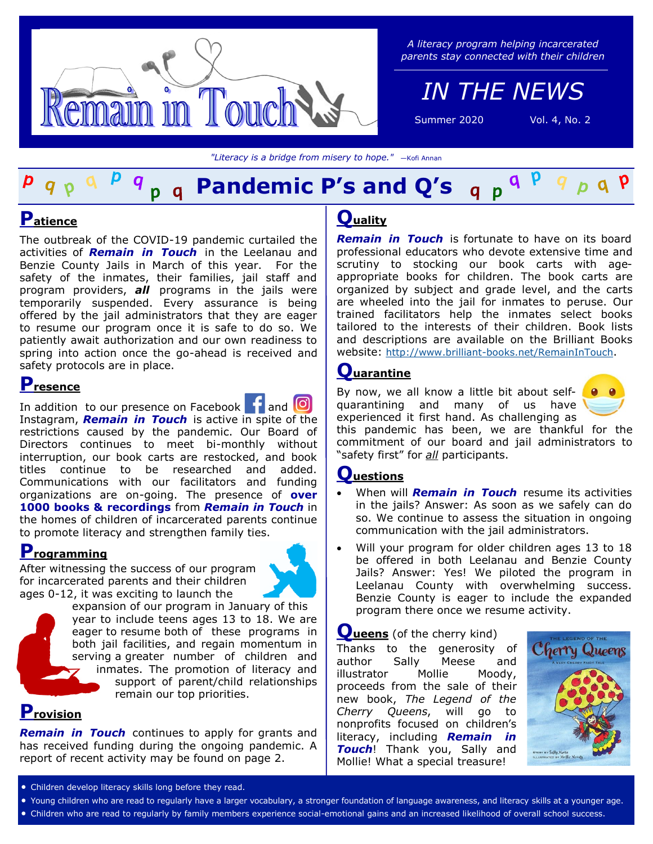

#### *A literacy program helping incarcerated parents stay connected with their children*

*IN THE NEWS*

Summer 2020 Vol. 4, No. 2

*"Literacy is a bridge from misery to hope."* —Kofi Annan

## a **Pandemic P's and Q's**

# **Patience**

The outbreak of the COVID-19 pandemic curtailed the activities of *Remain in Touch* in the Leelanau and Benzie County Jails in March of this year. For the safety of the inmates, their families, jail staff and program providers, *all* programs in the jails were temporarily suspended. Every assurance is being offered by the jail administrators that they are eager to resume our program once it is safe to do so. We patiently await authorization and our own readiness to spring into action once the go-ahead is received and safety protocols are in place.

## **Presence**

Inaddition to our presence on Facebook **11** and Instagram, *Remain in Touch* is active in spite of the restrictions caused by the pandemic. Our Board of Directors continues to meet bi-monthly without interruption, our book carts are restocked, and book titles continue to be researched and added. Communications with our facilitators and funding organizations are on-going. The presence of **over 1000 books & recordings** from *Remain in Touch* in the homes of children of incarcerated parents continue to promote literacy and strengthen family ties.

# **Programming**

After witnessing the success of our program for incarcerated parents and their children ages 0-12, it was exciting to launch the



expansion of our program in January of this year to include teens ages 13 to 18. We are eager to resume both of these programs in both jail facilities, and regain momentum in serving a greater number of children and inmates. The promotion of literacy and support of parent/child relationships remain our top priorities.

## **Provision**

*Remain in Touch* continues to apply for grants and has received funding during the ongoing pandemic. A report of recent activity may be found on page 2.

## **Quality**

*Remain in Touch* is fortunate to have on its board professional educators who devote extensive time and scrutiny to stocking our book carts with ageappropriate books for children. The book carts are organized by subject and grade level, and the carts are wheeled into the jail for inmates to peruse. Our trained facilitators help the inmates select books tailored to the interests of their children. Book lists and descriptions are available on the Brilliant Books website: http://www.brilliant-[books.net/RemainInTouch](http://www.brilliant-books.net/RemainInTouch).

# **Quarantine**

By now, we all know a little bit about selfquarantining and many of us have experienced it first hand. As challenging as



this pandemic has been, we are thankful for the commitment of our board and jail administrators to "safety first" for *all* participants.

## **Questions**

- When will *Remain in Touch* resume its activities in the jails? Answer: As soon as we safely can do so. We continue to assess the situation in ongoing communication with the jail administrators.
- Will your program for older children ages 13 to 18 be offered in both Leelanau and Benzie County Jails? Answer: Yes! We piloted the program in Leelanau County with overwhelming success. Benzie County is eager to include the expanded program there once we resume activity.

#### **Queens** (of the cherry kind)

Thanks to the generosity of author Sally Meese and illustrator Mollie Moody, proceeds from the sale of their new book, *The Legend of the Cherry Queens*, will go to nonprofits focused on children's literacy, including *Remain in Touch*! Thank you, Sally and Mollie! What a special treasure!



- Children develop literacy skills long before they read.
- Young children who are read to regularly have a larger vocabulary, a stronger foundation of language awareness, and literacy skills at a younger age.
- Children who are read to regularly by family members experience social-emotional gains and an increased likelihood of overall school success.